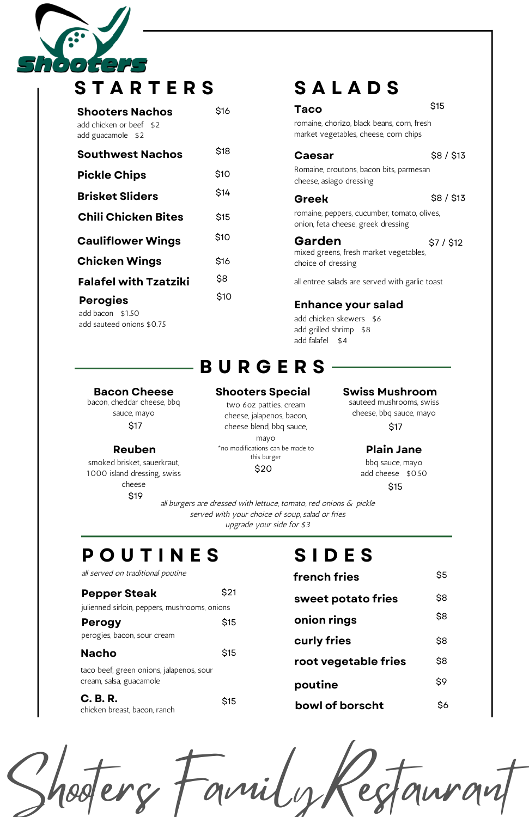[ - ]  $\blacksquare$  $\bullet$ 

**S T A R T E R S**

# **B U R G E R S**

## **Bacon Cheese Shooters Special Swiss Mushroom**

## **Enhance your salad**

romaine, chorizo, black beans, corn, fresh market vegetables, cheese, corn chips

Romaine, croutons, bacon bits, parmesan cheese, asiago dressing

add chicken skewers \$6 add grilled shrimp \$8 add falafel \$4

romaine, peppers, cucumber, tomato, olives, onion, feta cheese, greek dressing

mixed greens, fresh market vegetables, choice of dressing

### **Garden** \$7 / \$12

sauteed mushrooms, swiss cheese, bbq sauce, mayo

| <b>Shooters Nachos</b>                       | \$16 | Taco                          |
|----------------------------------------------|------|-------------------------------|
| add chicken or beef \$2<br>add guacamole \$2 |      | romaine, ch<br>market veg     |
| <b>Southwest Nachos</b>                      | \$18 | Caesa                         |
| <b>Pickle Chips</b>                          | \$10 | Romaine, c<br>cheese, asi     |
| <b>Brisket Sliders</b>                       | \$14 | <b>Greek</b>                  |
| <b>Chili Chicken Bites</b>                   | \$15 | romaine, pe<br>onion, feta    |
| <b>Cauliflower Wings</b>                     | \$10 | Garde                         |
| <b>Chicken Wings</b>                         | \$16 | mixed gree<br>choice of o     |
| <b>Falafel with Tzatziki</b>                 | \$8  | all entree s                  |
| <b>Perogies</b><br>add bacon \$1.50          | \$10 | <b>Enhan</b>                  |
| add sauteed onions \$0.75                    |      | add chicke<br>المماانيم لملمم |

all burgers are dressed with lettuce, tomato, red onions & pickle served with your choice of soup, salad or fries upgrade your side for \$3

\$15

### \$8 / \$13

### \$8 / \$13



bbq sauce, mayo add cheese \$0.50

# **S A L A D S**

**Caesar** 

bacon, cheddar cheese, bbq sauce, mayo \$17

two 6oz patties. cream cheese, jalapenos, bacon, cheese blend, bbq sauce, mayo \*no modifications can be made to **Reuben Plain Jane** this burger \$20

all entree salads are served with garlic toast

# **P O U T I N E S**

## **Pepper Steak**

julienned sirloin, peppers, mushrooms, onions

**C. B. R.** chicken breast, bacon, ranch

**Perogy** perogies, bacon, sour cream \$15

### **Nacho** \$15

taco beef, green onions, jalapenos, sour cream, salsa, guacamole

smoked brisket, sauerkraut, 1000 island dressing, swiss cheese \$19

### \$21

\$15

### all served on traditional poutine

# **S I D E S**

**french fries**

\$5

**sweet potato fries onion rings** \$8 \$8 **curly fries root vegetable fries poutine** \$8 \$8 \$9 **bowl of borscht** \$6

\$17

\$15